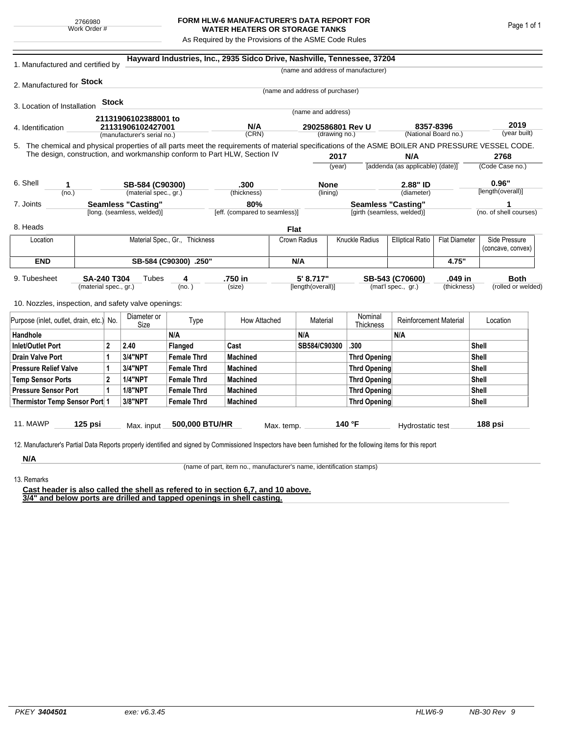## **FORM HLW-6 MANUFACTURER'S DATA REPORT FOR WATER HEATERS OR STORAGE TANKS**

As Required by the Provisions of the ASME Code Rules

| 1. Manufactured and certified by                                                                                                                                                                                                |                                                         |                |                             |                    | Hayward Industries, Inc., 2935 Sidco Drive, Nashville, Tennessee, 37204 |                                      |                                   |                     |                                                         |                                                 |                      |                    |                                    |  |
|---------------------------------------------------------------------------------------------------------------------------------------------------------------------------------------------------------------------------------|---------------------------------------------------------|----------------|-----------------------------|--------------------|-------------------------------------------------------------------------|--------------------------------------|-----------------------------------|---------------------|---------------------------------------------------------|-------------------------------------------------|----------------------|--------------------|------------------------------------|--|
|                                                                                                                                                                                                                                 |                                                         |                |                             |                    |                                                                         |                                      |                                   |                     | (name and address of manufacturer)                      |                                                 |                      |                    |                                    |  |
| 2. Manufactured for <b>Stock</b>                                                                                                                                                                                                |                                                         |                |                             |                    |                                                                         |                                      |                                   |                     |                                                         |                                                 |                      |                    |                                    |  |
|                                                                                                                                                                                                                                 |                                                         |                |                             |                    |                                                                         |                                      | (name and address of purchaser)   |                     |                                                         |                                                 |                      |                    |                                    |  |
| 3. Location of Installation                                                                                                                                                                                                     |                                                         | Stock          |                             |                    |                                                                         |                                      | (name and address)                |                     |                                                         |                                                 |                      |                    |                                    |  |
|                                                                                                                                                                                                                                 |                                                         |                | 21131906102388001 to        |                    |                                                                         |                                      |                                   |                     |                                                         |                                                 |                      |                    |                                    |  |
| 4. Identification                                                                                                                                                                                                               |                                                         |                | 21131906102427001           |                    | N/A<br>(CRN)                                                            |                                      | 2902586801 Rev U<br>(drawing no.) |                     | 8357-8396                                               |                                                 | (National Board no.) |                    | 2019<br>(year built)               |  |
|                                                                                                                                                                                                                                 |                                                         |                | (manufacturer's serial no.) |                    |                                                                         |                                      |                                   |                     |                                                         |                                                 |                      |                    |                                    |  |
| 5. The chemical and physical properties of all parts meet the requirements of material specifications of the ASME BOILER AND PRESSURE VESSEL CODE.<br>The design, construction, and workmanship conform to Part HLW, Section IV |                                                         |                |                             |                    |                                                                         |                                      |                                   | 2017                |                                                         | N/A                                             |                      |                    | 2768                               |  |
|                                                                                                                                                                                                                                 |                                                         |                |                             |                    |                                                                         |                                      | (year)                            |                     | [addenda (as applicable) (date)]                        |                                                 |                      | (Code Case no.)    |                                    |  |
|                                                                                                                                                                                                                                 |                                                         |                |                             |                    |                                                                         |                                      |                                   |                     |                                                         |                                                 |                      |                    |                                    |  |
| 6. Shell<br>1                                                                                                                                                                                                                   |                                                         |                | SB-584 (C90300)             |                    | .300                                                                    |                                      | <b>None</b>                       |                     | 2.88" ID                                                |                                                 |                      |                    | 0.96"                              |  |
| (no.)                                                                                                                                                                                                                           |                                                         |                | (material spec., gr.)       |                    | (thickness)                                                             |                                      |                                   | (lining)            |                                                         | (diameter)                                      |                      |                    | [length(overall)]                  |  |
| 7. Joints                                                                                                                                                                                                                       | <b>Seamless "Casting"</b><br>[long. (seamless, welded)] |                |                             |                    |                                                                         | 80%<br>[eff. (compared to seamless)] |                                   |                     | <b>Seamless "Casting"</b><br>[girth (seamless, welded)] |                                                 |                      |                    | (no. of shell courses)             |  |
|                                                                                                                                                                                                                                 |                                                         |                |                             |                    |                                                                         |                                      |                                   |                     |                                                         |                                                 |                      |                    |                                    |  |
| 8. Heads                                                                                                                                                                                                                        |                                                         |                |                             |                    |                                                                         | <b>Flat</b>                          |                                   |                     |                                                         |                                                 |                      |                    |                                    |  |
| Location                                                                                                                                                                                                                        | Material Spec., Gr., Thickness                          |                |                             |                    |                                                                         |                                      | Crown Radius                      |                     | Knuckle Radius                                          | <b>Elliptical Ratio</b><br><b>Flat Diameter</b> |                      |                    | Side Pressure<br>(concave, convex) |  |
| <b>END</b>                                                                                                                                                                                                                      | SB-584 (C90300) .250"                                   |                |                             |                    |                                                                         |                                      | N/A                               |                     |                                                         |                                                 | 4.75"                |                    |                                    |  |
| 9. Tubesheet                                                                                                                                                                                                                    |                                                         | Tubes          | .750 in                     | 5' 8.717"          |                                                                         |                                      | SB-543 (C70600)                   |                     | .049 in                                                 |                                                 | <b>Both</b>          |                    |                                    |  |
| <b>SA-240 T304</b><br>(material spec., gr.)                                                                                                                                                                                     |                                                         |                |                             | 4<br>(no. )        | (size)                                                                  |                                      | [length(overall)]                 |                     | (mat'l spec., gr.)<br>(thickness)                       |                                                 |                      | (rolled or welded) |                                    |  |
| 10. Nozzles, inspection, and safety valve openings:                                                                                                                                                                             |                                                         |                |                             |                    |                                                                         |                                      |                                   |                     |                                                         |                                                 |                      |                    |                                    |  |
|                                                                                                                                                                                                                                 |                                                         |                | Diameter or                 |                    |                                                                         |                                      |                                   |                     | Nominal                                                 |                                                 |                      |                    |                                    |  |
| Purpose (inlet, outlet, drain, etc.) No.                                                                                                                                                                                        |                                                         |                | Size                        | Type               | How Attached                                                            |                                      | Material                          |                     | Thickness                                               | <b>Reinforcement Material</b>                   |                      |                    | Location                           |  |
| Handhole                                                                                                                                                                                                                        |                                                         |                |                             | N/A                |                                                                         |                                      | N/A                               |                     |                                                         | N/A                                             |                      |                    |                                    |  |
| $\overline{2}$<br><b>Inlet/Outlet Port</b>                                                                                                                                                                                      |                                                         | 2.40           | Flanged                     | Cast               |                                                                         | SB584/C90300                         |                                   | .300                |                                                         |                                                 | Shell                |                    |                                    |  |
| <b>Drain Valve Port</b><br>1                                                                                                                                                                                                    |                                                         | <b>3/4"NPT</b> | <b>Female Thrd</b>          | <b>Machined</b>    |                                                                         |                                      |                                   | <b>Thrd Opening</b> |                                                         |                                                 | Shell                |                    |                                    |  |
| <b>Pressure Relief Valve</b><br>1                                                                                                                                                                                               |                                                         | 3/4"NPT        | <b>Female Thrd</b>          | <b>Machined</b>    |                                                                         |                                      |                                   | <b>Thrd Opening</b> |                                                         |                                                 | Shell                |                    |                                    |  |
| $\overline{2}$<br><b>Temp Sensor Ports</b>                                                                                                                                                                                      |                                                         |                | <b>1/4"NPT</b>              | <b>Female Thrd</b> | <b>Machined</b>                                                         |                                      |                                   | <b>Thrd Opening</b> |                                                         |                                                 |                      | Shell              |                                    |  |
| <b>Pressure Sensor Port</b><br>1                                                                                                                                                                                                |                                                         |                | <b>1/8"NPT</b>              | <b>Female Thrd</b> | <b>Machined</b>                                                         |                                      |                                   |                     | Thrd Opening                                            |                                                 | Shell                |                    |                                    |  |
| Thermistor Temp Sensor Port 1                                                                                                                                                                                                   |                                                         |                | 3/8"NPT                     | <b>Female Thrd</b> | <b>Machined</b>                                                         |                                      |                                   | Thrd Opening        |                                                         |                                                 |                      |                    | Shell                              |  |
|                                                                                                                                                                                                                                 |                                                         |                |                             |                    |                                                                         |                                      |                                   |                     |                                                         |                                                 |                      |                    |                                    |  |
| 11. MAWP                                                                                                                                                                                                                        | $125$ psi                                               |                | Max. input                  | 500,000 BTU/HR     |                                                                         | Max. temp.                           |                                   |                     | 140 °F                                                  | Hydrostatic test                                |                      |                    | 188 psi                            |  |
|                                                                                                                                                                                                                                 |                                                         |                |                             |                    |                                                                         |                                      |                                   |                     |                                                         |                                                 |                      |                    |                                    |  |
| 12. Manufacturer's Partial Data Reports properly identified and signed by Commissioned Inspectors have been furnished for the following items for this report                                                                   |                                                         |                |                             |                    |                                                                         |                                      |                                   |                     |                                                         |                                                 |                      |                    |                                    |  |
| N/A                                                                                                                                                                                                                             |                                                         |                |                             |                    |                                                                         |                                      |                                   |                     |                                                         |                                                 |                      |                    |                                    |  |

(name of part, item no., manufacturer's name, identification stamps)

13. Remarks

**Cast header is also called the shell as refered to in section 6,7, and 10 above. 3/4" and below ports are drilled and tapped openings in shell casting.**